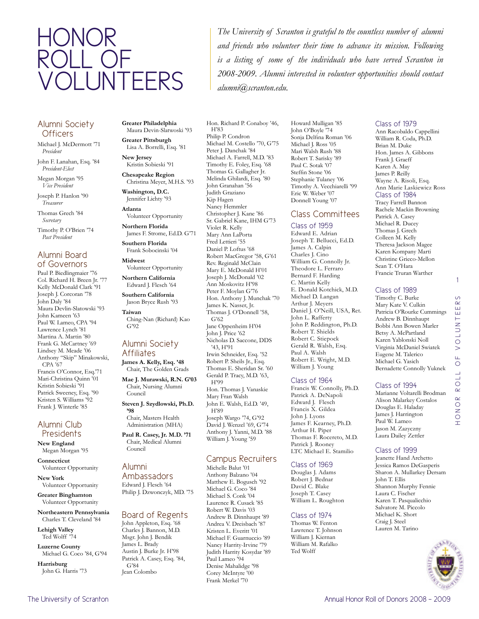# Honor roll of **VOLUNTEERS**

### Alumni Society **Officers**

Michael J. McDermott '71 *President*

John F. Lanahan, Esq. '84 *President-Elect*

Megan Morgan '95 *Vice President*

Joseph P. Hanlon '90 *Treasurer*

Thomas Grech '84 *Secretary*

Timothy P. O'Brien '74 *Past President*

### Alumni Board of Governors

Paul P. Biedlingmaier '76 Col. Richard H. Breen Jr. '77 Kelly McDonald Clark '91 Joseph J. Corcoran '78 John Daly '84 Maura Devlin-Slatowski '93 John Kameen '63 Paul W. Lameo, CPA '94 Lawrence Lynch '81 Martina A. Martin '80 Frank G. McCartney '69 Lindsey M. Meade '06 Anthony "Skip" Minakowski, CPA '67 Francis O'Connor, Esq.'71 Mari-Christina Quinn '01 Kristin Sobieski '91 Patrick Sweeney, Esq. '90 Kristen S. Williams '92 Frank J. Winterle '85

### Alumni Club **Presidents**

**New England** Megan Morgan '95

**Connecticut** Volunteer Opportunity

**New York** Volunteer Opportunity

**Greater Binghamton** Volunteer Opportunity

**Northeastern Pennsylvania** Charles T. Cleveland '84

**Lehigh Valley** Ted Wolff '74

**Luzerne County** Michael G. Coco '84, G'94

**Harrisburg** John G. Harris '73 **Greater Philadelphia** Maura Devin-Slatwoski '93

**Greater Pittsburgh** Lisa A. Borrelli, Esq. '81

**New Jersey** Kristin Sobieski '91

**Chesapeake Region** Christina Meyer, M.H.S. '93

### **Washington, D.C.** Jennifer Lichty '93

**Atlanta** Volunteer Opportunity

**Northern Florida** James F. Strome, Ed.D. G'71

**Southern Florida** Frank Sobocinski '04

**Midwest** Volunteer Opportunity

**Northern California** Edward J. Flesch '64

**Southern California** Jason Bryce Rush '93

**Taiwan** Ching-Nan (Richard) Kao G'92

### Alumni Society **Affiliates**

**James A. Kelly, Esq. '48** Chair, The Golden Grads

**Mae J. Murawski, R.N. G'03** Chair, Nursing Alumni Council

**Steven J. Szydlowski, Ph.D. '98** Chair, Masters Health

Administration (MHA)

**Paul R. Casey, Jr. M.D. '71** Chair, Medical Alumni Council

## Alumni

Ambassadors Edward J. Flesch '64 Philip J. Dzwonczyk, MD. '75

# Board of Regents

John Appleton, Esq. '68 Charles J. Bannon, M.D. Msgr. John J. Bendik James L. Brady Austin J. Burke Jr. H'98 Patrick A. Casey, Esq. '84, G'84 Jean Colombo

Hon. Richard P. Conaboy '46, H'83 Philip P. Condron Michael M. Costello '70, G'75 Peter J. Danchak '84 Michael A. Farrell, M.D. '83 Timothy E. Foley, Esq. '68 Thomas G. Gallagher Jr. Melinda Ghilardi, Esq. '80 John Granahan '56 Judith Graziano Kip Hagen Nancy Hemmler Christopher J. Kane '86 Sr. Gabriel Kane, IHM G'73 Violet R. Kelly Mary Ann LaPorta Fred Lettieri '55 Daniel P. Loftus '68 Robert MacGregor '58, G'61 Rev. Reginald McClain Mary E. McDonald H'01 Joseph J. McDonald '02 Ann Moskovitz H'98 Peter F. Moylan G'76 Hon. Anthony J. Munchak '70 James K. Nasser, Jr. Thomas J. O'Donnell '58, G'62 Jane Oppenheim H'04 John J. Price '62 Nicholas D. Saccone, DDS '43, H'91 Irwin Schneider, Esq. '52 Robert P. Sheils Jr., Esq. Thomas E. Sheridan Sr. '60 Gerald P. Tracy, M.D. '63, H'99 Hon. Thomas J. Vanaskie Mary Fran Walsh John E. Walsh, Ed.D. '49, H'89 Joseph Wargo '74, G'92

*alumni@scranton.edu.*

David J. Wenzel '69, G'74 Anthony J. Yanni, M.D. '88 William J. Young '59

### Campus Recruiters

Michelle Balut '01 Anthony Balzano '04 Matthew E. Bogusch '92 Michael G. Coco '84 Michael S. Conk '04 Laurence R. Cusack '85 Robert W. Davis '03 Andrew B. Dinnhaupt '89 Andrea V. Dreisbach '87 Kristen L. Everitt '01 Michael F. Guarnuccio '89 Nancy Harrity-Irvine '79 Judith Harrity Kosydar '89 Paul Lameo '94 Denise Mahalidge '98 Corey McIntyre '00 Frank Merkel '70

Howard Mulligan '85 John O'Boyle '74 Sonja Delfina Roman '06 Michael J. Ross '05 Mari Walsh Rush '88 Robert T. Sarisky '89 Paul C. Sotak '07 Steffin Stone '06 Stephanie Tulaney '06 Timothy A. Vecchiarelli '99 Eric W. Weber '07 Donnell Young '07

*The University of Scranton is grateful to the countless number of alumni and friends who volunteer their time to advance its mission. Following is a listing of some of the individuals who have served Scranton in 2008-2009. Alumni interested in volunteer opportunities should contact* 

### Class Committees

Class of 1959 Edward E. Adrian Joseph T. Bellucci, Ed.D. James A. Calpin Charles J. Cino William G. Connolly Jr. Theodore L. Ferraro Bernard F. Harding C. Martin Kelly E. Donald Kotchick, M.D. Michael D. Langan Arthur J. Meyers Daniel J. O'Neill, USA, Ret. John L. Rafferty John P. Reddington, Ph.D. Robert T. Shields Robert C. Stiepock Gerald R. Walsh, Esq. Paul A. Walsh Robert E. Wright, M.D. William J. Young

### Class of 1964

Francis W. Connolly, Ph.D. Patrick A. DeNapoli Edward J. Flesch Francis X. Gildea John J. Lyons James F. Kearney, Ph.D. Arthur H. Piper Thomas F. Rocereto, M.D. Patrick J. Rooney LTC Michael E. Stamilio

### Class of 1969

Douglas J. Adams Robert J. Bednar David C. Blake Joseph T. Casey William L. Roughton

### Class of 1974

Thomas W. Fenton Lawrence T. Johnson William J. Kiernan William M. Rafalko Ted Wolff

### Class of 1979

Ann Racobaldo Cappellini William R. Coda, Ph.D. Brian M. Duke Hon. James A. Gibbons Frank J. Graeff Karen A. May James P. Reilly Wayne A. Risoli, Esq. Ann Marie Laskiewicz Ross Class of 1984 Tracy Farrell Bannon Rachele Mackin Browning Patrick A. Casey Michael R. Ducey Thomas J. Grech

Colleen M. Kelly Theresa Jackson Magee Karen Kompany Marti Christine Grieco-Mellon Sean T. O'Hara Francie Truran Warther

### Class of 1989

Timothy C. Burke Mary Kate V. Culkin Patricia O'Rourke Cummings Andrew B. Dinnhaupt Bobbi Ann Bowen Marler Betsy A. McPartland Karen Yablonski Noll Virginia McDaniel Swiatek Eugene M. Talerico Michael G. Yasich Bernadette Connolly Yuknek

Class of 1994 Marianne Voltarelli Brodman Alison Malarkey Costalos Douglas E. Haladay James J. Harrington Paul W. Lameo Jason M. Zazyczny Laura Dailey Zettler

### Class of 1999

Jeanette Hand Archetto Jessica Ramos DeGasperis Sharon A. Mullarkey Dersam John T. Ellis Shannon Murphy Fennie Laura C. Fischer Karen T. Pasqualicchio Salvatore M. Piccolo Michael K. Short Craig J. Steel Lauren M. Tarino



1

 $\circ$  $\alpha$ ш  $\overline{\mathbb{H}}$ 

Honor roll of volunteers

HONOK

 $\geq$ μ.  $\circ$  $110$  $\overline{\alpha}$ 

**LNUTO**